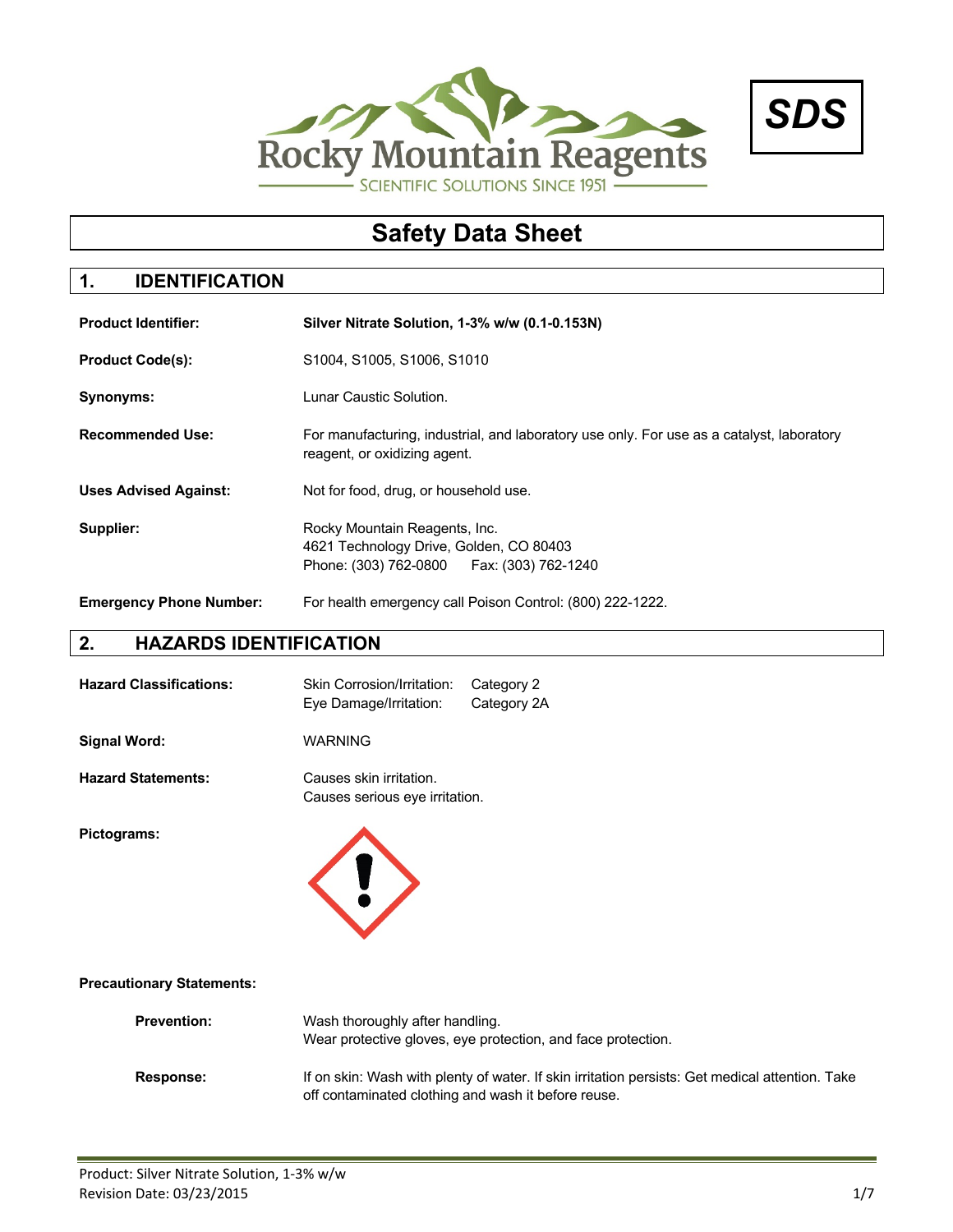



# **Safety Data Sheet**

## **1. IDENTIFICATION**

| <b>Product Identifier:</b>     | Silver Nitrate Solution, 1-3% w/w (0.1-0.153N)                                                                            |
|--------------------------------|---------------------------------------------------------------------------------------------------------------------------|
| <b>Product Code(s):</b>        | S1004, S1005, S1006, S1010                                                                                                |
| Synonyms:                      | Lunar Caustic Solution.                                                                                                   |
| <b>Recommended Use:</b>        | For manufacturing, industrial, and laboratory use only. For use as a catalyst, laboratory<br>reagent, or oxidizing agent. |
| <b>Uses Advised Against:</b>   | Not for food, drug, or household use.                                                                                     |
| Supplier:                      | Rocky Mountain Reagents, Inc.<br>4621 Technology Drive, Golden, CO 80403<br>Phone: (303) 762-0800   Fax: (303) 762-1240   |
| <b>Emergency Phone Number:</b> | For health emergency call Poison Control: (800) 222-1222.                                                                 |

## **2. HAZARDS IDENTIFICATION**

| <b>Hazard Classifications:</b> | Skin Corrosion/Irritation: Category 2<br>Eye Damage/Irritation: | Category 2A |
|--------------------------------|-----------------------------------------------------------------|-------------|
| Signal Word:                   | <b>WARNING</b>                                                  |             |

**Hazard Statements:** Causes skin irritation. Causes serious eye irritation.

**Pictograms:**



#### **Precautionary Statements:**

| <b>Prevention:</b> | Wash thoroughly after handling.<br>Wear protective gloves, eye protection, and face protection.                                                        |
|--------------------|--------------------------------------------------------------------------------------------------------------------------------------------------------|
| <b>Response:</b>   | If on skin: Wash with plenty of water. If skin irritation persists: Get medical attention. Take<br>off contaminated clothing and wash it before reuse. |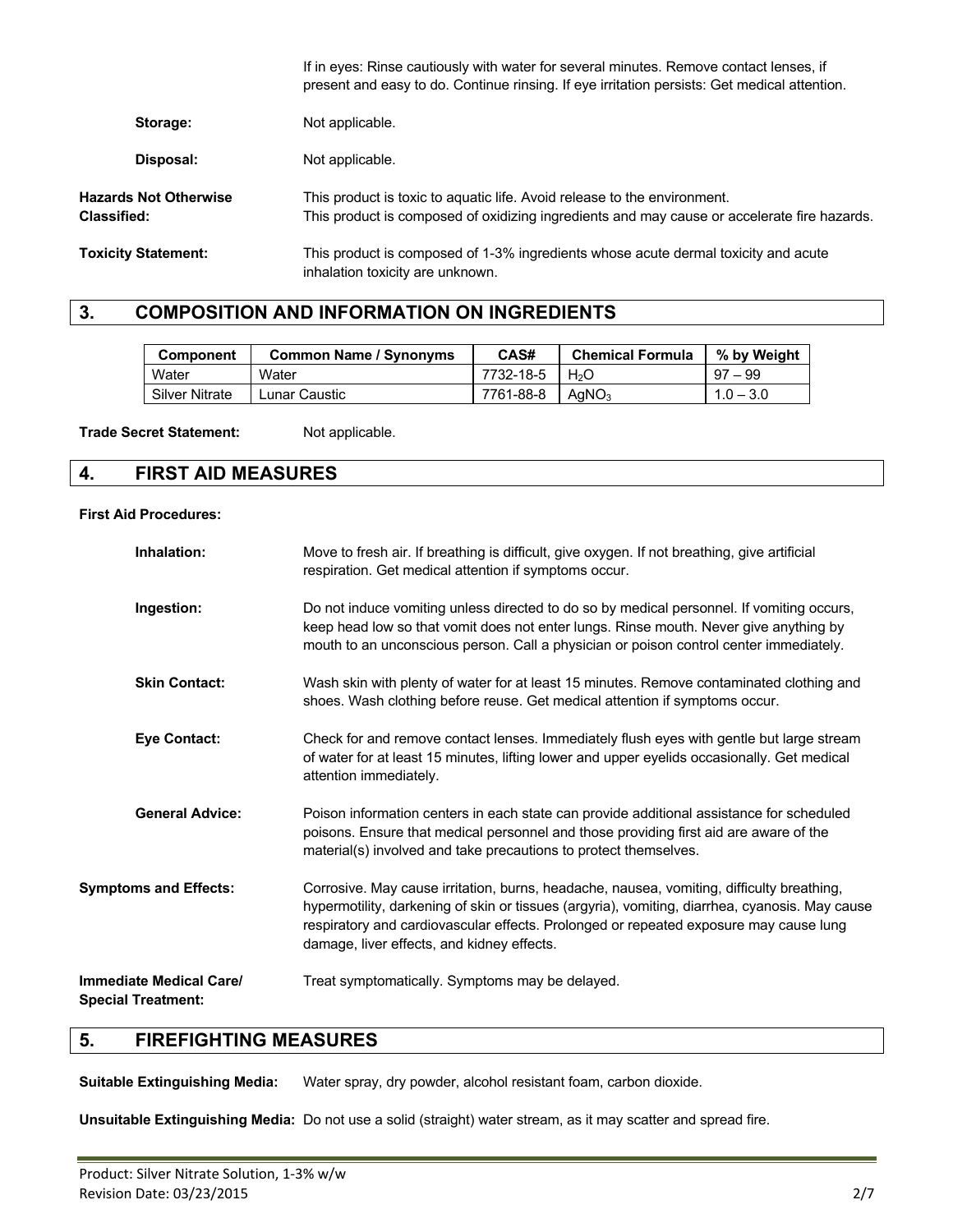|                                      | If in eyes: Rinse cautiously with water for several minutes. Remove contact lenses, if<br>present and easy to do. Continue rinsing. If eye irritation persists: Get medical attention. |
|--------------------------------------|----------------------------------------------------------------------------------------------------------------------------------------------------------------------------------------|
| Storage:                             | Not applicable.                                                                                                                                                                        |
| Disposal:                            | Not applicable.                                                                                                                                                                        |
| Hazards Not Otherwise<br>Classified: | This product is toxic to aquatic life. Avoid release to the environment.<br>This product is composed of oxidizing ingredients and may cause or accelerate fire hazards.                |
| <b>Toxicity Statement:</b>           | This product is composed of 1-3% ingredients whose acute dermal toxicity and acute<br>inhalation toxicity are unknown.                                                                 |

### **3. COMPOSITION AND INFORMATION ON INGREDIENTS**

| <b>Component</b>      | <b>Common Name / Synonyms</b> | CAS#      | <b>Chemical Formula</b> | % by Weight |
|-----------------------|-------------------------------|-----------|-------------------------|-------------|
| Water                 | Water                         | 7732-18-5 | H <sub>2</sub> O        | $97 - 99$   |
| <b>Silver Nitrate</b> | Lunar Caustic                 | 7761-88-8 | AqNO <sub>3</sub>       | $1.0 - 3.0$ |

Trade Secret Statement: Not applicable.

### **4. FIRST AID MEASURES**

#### **First Aid Procedures:**

| Inhalation:                                                 | Move to fresh air. If breathing is difficult, give oxygen. If not breathing, give artificial<br>respiration. Get medical attention if symptoms occur.                                                                                                                                                                              |
|-------------------------------------------------------------|------------------------------------------------------------------------------------------------------------------------------------------------------------------------------------------------------------------------------------------------------------------------------------------------------------------------------------|
| Ingestion:                                                  | Do not induce vomiting unless directed to do so by medical personnel. If vomiting occurs,<br>keep head low so that vomit does not enter lungs. Rinse mouth. Never give anything by<br>mouth to an unconscious person. Call a physician or poison control center immediately.                                                       |
| <b>Skin Contact:</b>                                        | Wash skin with plenty of water for at least 15 minutes. Remove contaminated clothing and<br>shoes. Wash clothing before reuse. Get medical attention if symptoms occur.                                                                                                                                                            |
| <b>Eye Contact:</b>                                         | Check for and remove contact lenses. Immediately flush eyes with gentle but large stream<br>of water for at least 15 minutes, lifting lower and upper eyelids occasionally. Get medical<br>attention immediately.                                                                                                                  |
| <b>General Advice:</b>                                      | Poison information centers in each state can provide additional assistance for scheduled<br>poisons. Ensure that medical personnel and those providing first aid are aware of the<br>material(s) involved and take precautions to protect themselves.                                                                              |
| <b>Symptoms and Effects:</b>                                | Corrosive. May cause irritation, burns, headache, nausea, vomiting, difficulty breathing,<br>hypermotility, darkening of skin or tissues (argyria), vomiting, diarrhea, cyanosis. May cause<br>respiratory and cardiovascular effects. Prolonged or repeated exposure may cause lung<br>damage, liver effects, and kidney effects. |
| <b>Immediate Medical Care/</b><br><b>Special Treatment:</b> | Treat symptomatically. Symptoms may be delayed.                                                                                                                                                                                                                                                                                    |

### **5. FIREFIGHTING MEASURES**

**Suitable Extinguishing Media:** Water spray, dry powder, alcohol resistant foam, carbon dioxide.

**Unsuitable Extinguishing Media:** Do not use a solid (straight) water stream, as it may scatter and spread fire.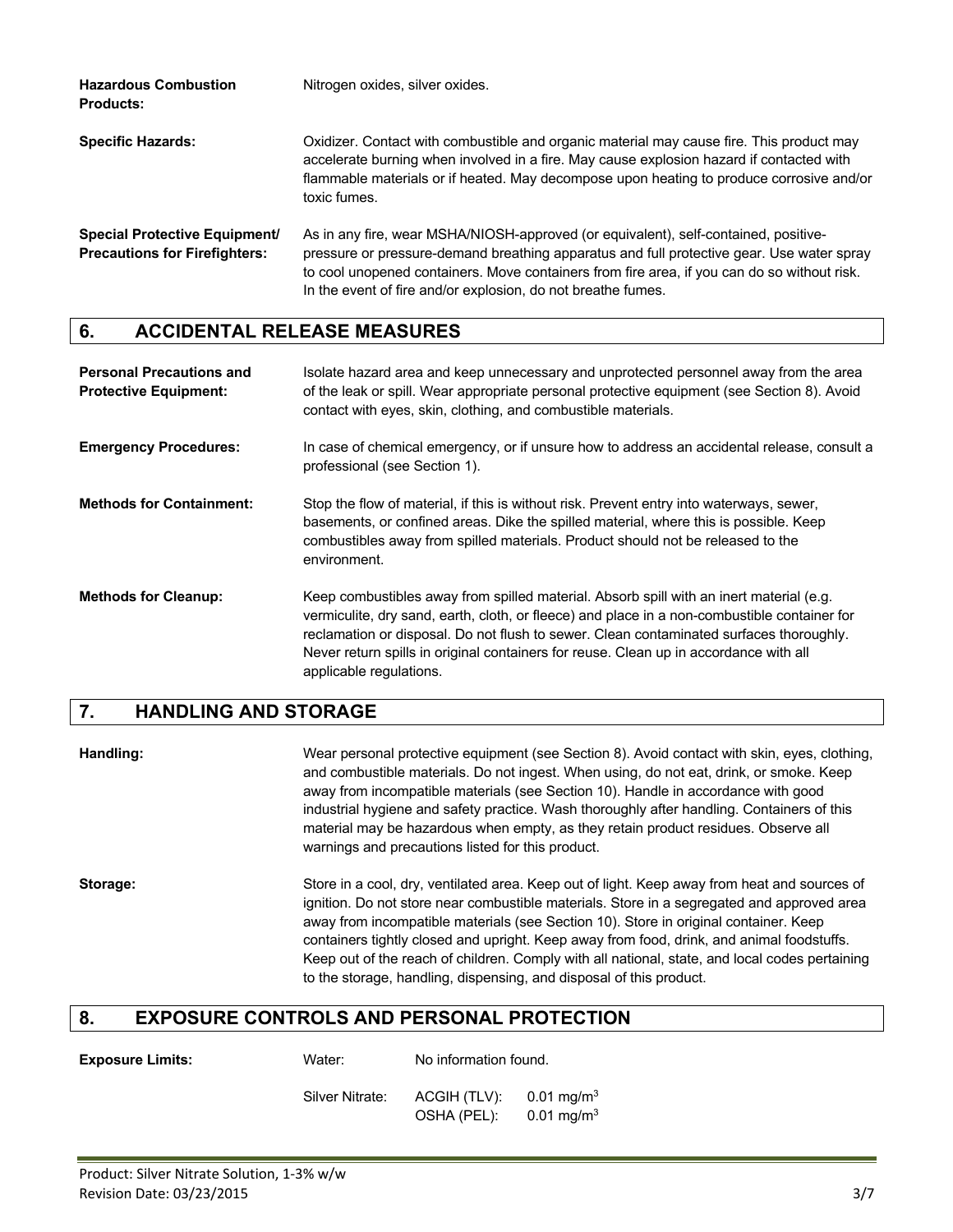| <b>Hazardous Combustion</b><br><b>Products:</b>                              | Nitrogen oxides, silver oxides.                                                                                                                                                                                                                                                                                                                 |
|------------------------------------------------------------------------------|-------------------------------------------------------------------------------------------------------------------------------------------------------------------------------------------------------------------------------------------------------------------------------------------------------------------------------------------------|
| <b>Specific Hazards:</b>                                                     | Oxidizer. Contact with combustible and organic material may cause fire. This product may<br>accelerate burning when involved in a fire. May cause explosion hazard if contacted with<br>flammable materials or if heated. May decompose upon heating to produce corrosive and/or<br>toxic fumes.                                                |
| <b>Special Protective Equipment/</b><br><b>Precautions for Firefighters:</b> | As in any fire, wear MSHA/NIOSH-approved (or equivalent), self-contained, positive-<br>pressure or pressure-demand breathing apparatus and full protective gear. Use water spray<br>to cool unopened containers. Move containers from fire area, if you can do so without risk.<br>In the event of fire and/or explosion, do not breathe fumes. |

## **6. ACCIDENTAL RELEASE MEASURES**

| <b>Personal Precautions and</b><br><b>Protective Equipment:</b> | Isolate hazard area and keep unnecessary and unprotected personnel away from the area<br>of the leak or spill. Wear appropriate personal protective equipment (see Section 8). Avoid<br>contact with eyes, skin, clothing, and combustible materials.                                                                                                                                                  |
|-----------------------------------------------------------------|--------------------------------------------------------------------------------------------------------------------------------------------------------------------------------------------------------------------------------------------------------------------------------------------------------------------------------------------------------------------------------------------------------|
| <b>Emergency Procedures:</b>                                    | In case of chemical emergency, or if unsure how to address an accidental release, consult a<br>professional (see Section 1).                                                                                                                                                                                                                                                                           |
| <b>Methods for Containment:</b>                                 | Stop the flow of material, if this is without risk. Prevent entry into waterways, sewer,<br>basements, or confined areas. Dike the spilled material, where this is possible. Keep<br>combustibles away from spilled materials. Product should not be released to the<br>environment.                                                                                                                   |
| <b>Methods for Cleanup:</b>                                     | Keep combustibles away from spilled material. Absorb spill with an inert material (e.g.<br>vermiculite, dry sand, earth, cloth, or fleece) and place in a non-combustible container for<br>reclamation or disposal. Do not flush to sewer. Clean contaminated surfaces thoroughly.<br>Never return spills in original containers for reuse. Clean up in accordance with all<br>applicable regulations. |

## **7. HANDLING AND STORAGE**

| Handling: | Wear personal protective equipment (see Section 8). Avoid contact with skin, eyes, clothing,<br>and combustible materials. Do not ingest. When using, do not eat, drink, or smoke. Keep |
|-----------|-----------------------------------------------------------------------------------------------------------------------------------------------------------------------------------------|
|           |                                                                                                                                                                                         |
|           | away from incompatible materials (see Section 10). Handle in accordance with good                                                                                                       |
|           | industrial hygiene and safety practice. Wash thoroughly after handling. Containers of this                                                                                              |
|           | material may be hazardous when empty, as they retain product residues. Observe all                                                                                                      |
|           | warnings and precautions listed for this product.                                                                                                                                       |
|           |                                                                                                                                                                                         |

**Storage:** Store in a cool, dry, ventilated area. Keep out of light. Keep away from heat and sources of ignition. Do not store near combustible materials. Store in a segregated and approved area away from incompatible materials (see Section 10). Store in original container. Keep containers tightly closed and upright. Keep away from food, drink, and animal foodstuffs. Keep out of the reach of children. Comply with all national, state, and local codes pertaining to the storage, handling, dispensing, and disposal of this product.

## **8. EXPOSURE CONTROLS AND PERSONAL PROTECTION**

| <b>Exposure Limits:</b> | Water:                                                                                                                                             |  |
|-------------------------|----------------------------------------------------------------------------------------------------------------------------------------------------|--|
|                         | $\bigcap_{i=1}^{n}$ . The $\bigcap_{i=1}^{n}$ is a set of $\bigcap_{i=1}^{n}$ in $\bigcap_{i=1}^{n}$ in $\bigcap_{i=1}^{n}$ in $\bigcap_{i=1}^{n}$ |  |

**Io information found.** 

Silver Nitrate: ACGIH (TLV): 0.01 mg/m<sup>3</sup> OSHA (PEL): 0.01 mg/m<sup>3</sup>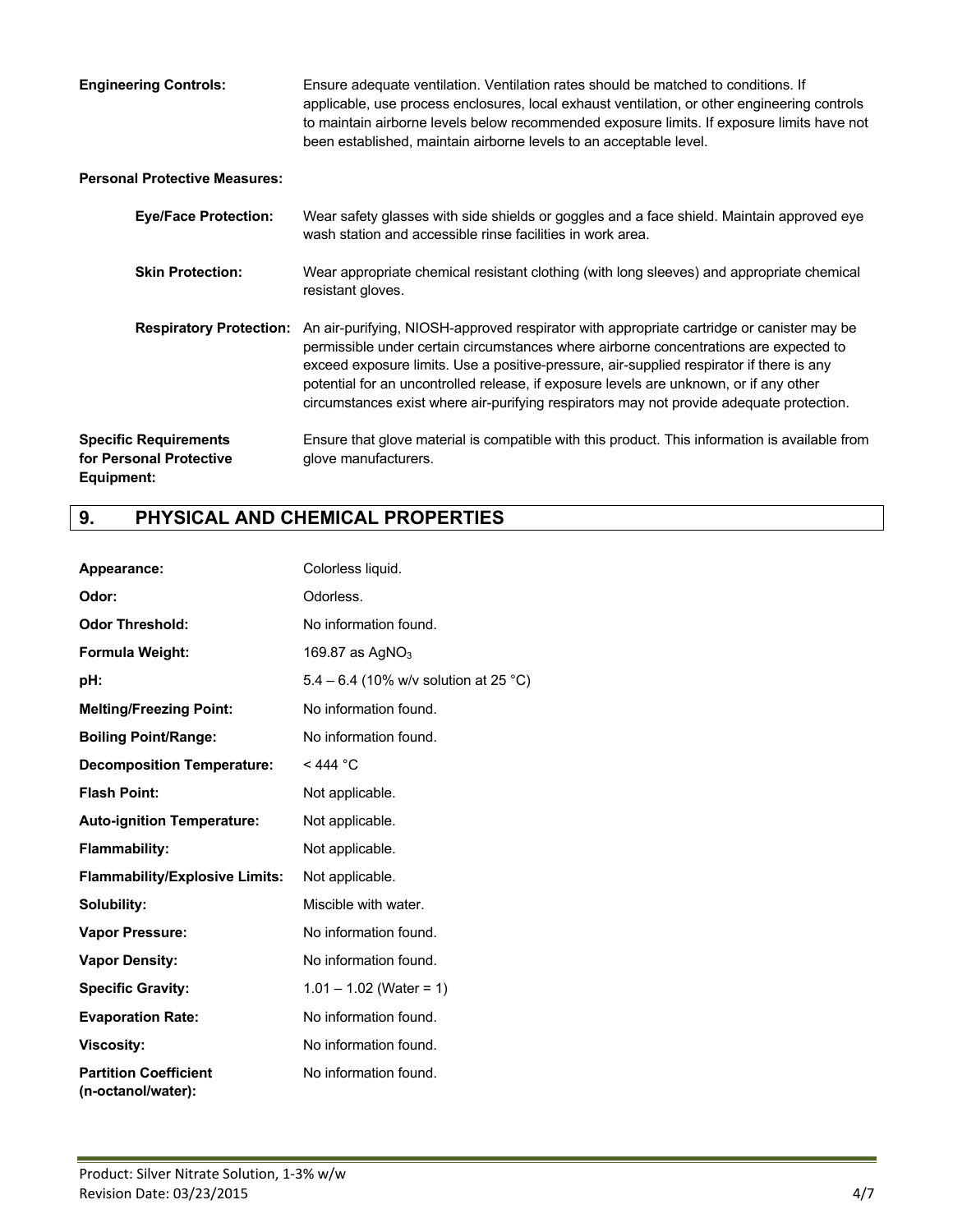| <b>Engineering Controls:</b> | Ensure adequate ventilation. Ventilation rates should be matched to conditions. If           |
|------------------------------|----------------------------------------------------------------------------------------------|
|                              | applicable, use process enclosures, local exhaust ventilation, or other engineering controls |
|                              | to maintain airborne levels below recommended exposure limits. If exposure limits have not   |
|                              | been established, maintain airborne levels to an acceptable level.                           |

### **Personal Protective Measures:**

| <b>Eye/Face Protection:</b>                                           | Wear safety glasses with side shields or goggles and a face shield. Maintain approved eye<br>wash station and accessible rinse facilities in work area.                                                                                                                                                                                                                                                                                                              |
|-----------------------------------------------------------------------|----------------------------------------------------------------------------------------------------------------------------------------------------------------------------------------------------------------------------------------------------------------------------------------------------------------------------------------------------------------------------------------------------------------------------------------------------------------------|
| <b>Skin Protection:</b>                                               | Wear appropriate chemical resistant clothing (with long sleeves) and appropriate chemical<br>resistant gloves.                                                                                                                                                                                                                                                                                                                                                       |
| <b>Respiratory Protection:</b>                                        | An air-purifying, NIOSH-approved respirator with appropriate cartridge or canister may be<br>permissible under certain circumstances where airborne concentrations are expected to<br>exceed exposure limits. Use a positive-pressure, air-supplied respirator if there is any<br>potential for an uncontrolled release, if exposure levels are unknown, or if any other<br>circumstances exist where air-purifying respirators may not provide adequate protection. |
| <b>Specific Requirements</b><br>for Personal Protective<br>Equipment: | Ensure that glove material is compatible with this product. This information is available from<br>glove manufacturers.                                                                                                                                                                                                                                                                                                                                               |

## **9. PHYSICAL AND CHEMICAL PROPERTIES**

| Appearance:                                        | Colorless liquid.                     |
|----------------------------------------------------|---------------------------------------|
| Odor:                                              | Odorless.                             |
| <b>Odor Threshold:</b>                             | No information found.                 |
| Formula Weight:                                    | 169.87 as $AgNO3$                     |
| pH:                                                | 5.4 – 6.4 (10% w/v solution at 25 °C) |
| <b>Melting/Freezing Point:</b>                     | No information found.                 |
| <b>Boiling Point/Range:</b>                        | No information found.                 |
| <b>Decomposition Temperature:</b>                  | $<$ 444 °C                            |
| <b>Flash Point:</b>                                | Not applicable.                       |
| <b>Auto-ignition Temperature:</b>                  | Not applicable.                       |
| <b>Flammability:</b>                               | Not applicable.                       |
| <b>Flammability/Explosive Limits:</b>              | Not applicable.                       |
| Solubility:                                        | Miscible with water.                  |
| <b>Vapor Pressure:</b>                             | No information found.                 |
| <b>Vapor Density:</b>                              | No information found.                 |
| <b>Specific Gravity:</b>                           | $1.01 - 1.02$ (Water = 1)             |
| <b>Evaporation Rate:</b>                           | No information found.                 |
| <b>Viscosity:</b>                                  | No information found.                 |
| <b>Partition Coefficient</b><br>(n-octanol/water): | No information found.                 |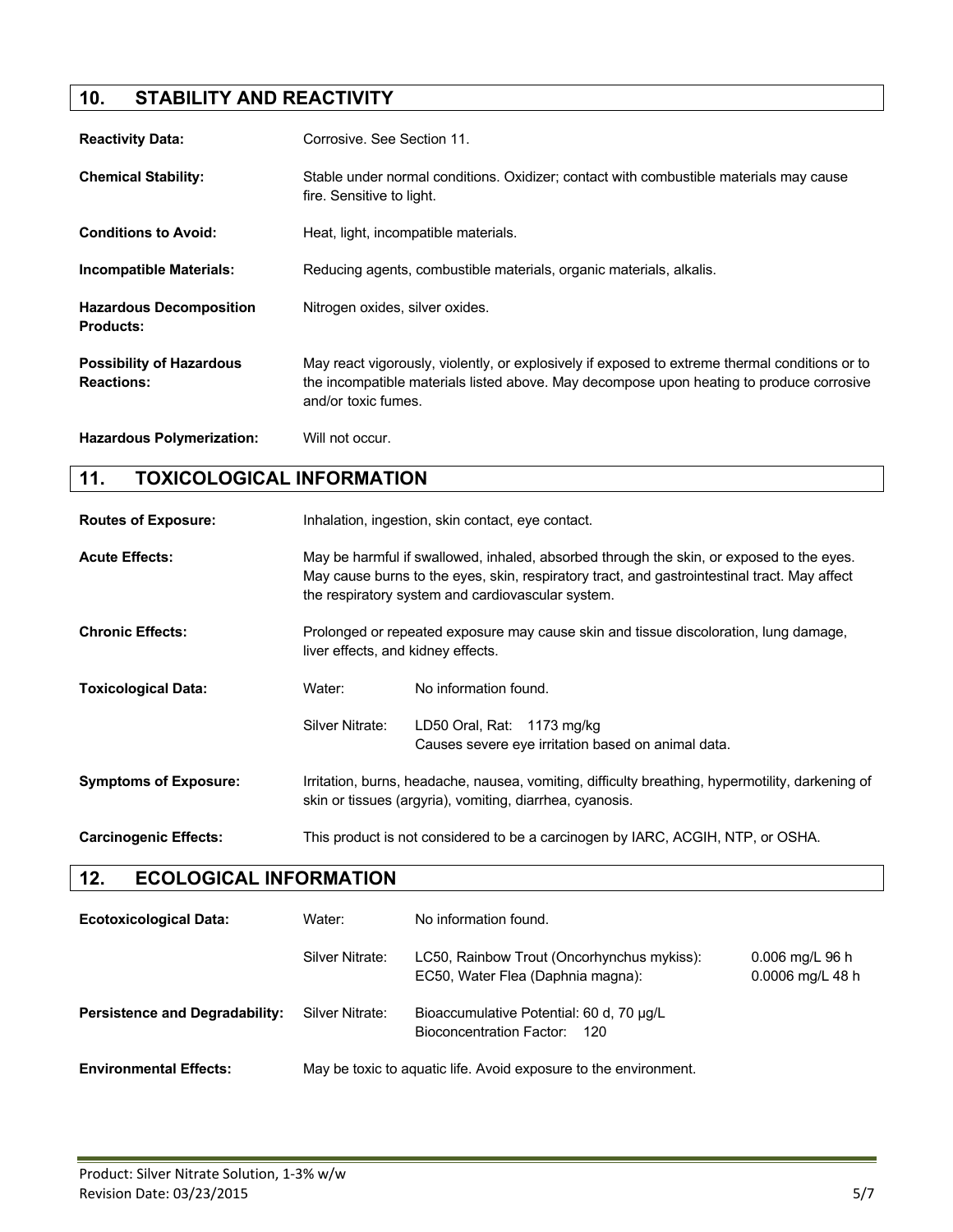## **10. STABILITY AND REACTIVITY**

| <b>Reactivity Data:</b>                              | Corrosive. See Section 11.                                                                                                                                                                                        |
|------------------------------------------------------|-------------------------------------------------------------------------------------------------------------------------------------------------------------------------------------------------------------------|
| <b>Chemical Stability:</b>                           | Stable under normal conditions. Oxidizer; contact with combustible materials may cause<br>fire. Sensitive to light.                                                                                               |
| <b>Conditions to Avoid:</b>                          | Heat, light, incompatible materials.                                                                                                                                                                              |
| <b>Incompatible Materials:</b>                       | Reducing agents, combustible materials, organic materials, alkalis.                                                                                                                                               |
| <b>Hazardous Decomposition</b><br><b>Products:</b>   | Nitrogen oxides, silver oxides.                                                                                                                                                                                   |
| <b>Possibility of Hazardous</b><br><b>Reactions:</b> | May react vigorously, violently, or explosively if exposed to extreme thermal conditions or to<br>the incompatible materials listed above. May decompose upon heating to produce corrosive<br>and/or toxic fumes. |
| <b>Hazardous Polymerization:</b>                     | Will not occur.                                                                                                                                                                                                   |

## **11. TOXICOLOGICAL INFORMATION**

| <b>Routes of Exposure:</b>   | Inhalation, ingestion, skin contact, eye contact.                                                                                                                                                                                             |                                                                                  |
|------------------------------|-----------------------------------------------------------------------------------------------------------------------------------------------------------------------------------------------------------------------------------------------|----------------------------------------------------------------------------------|
| <b>Acute Effects:</b>        | May be harmful if swallowed, inhaled, absorbed through the skin, or exposed to the eyes.<br>May cause burns to the eyes, skin, respiratory tract, and gastrointestinal tract. May affect<br>the respiratory system and cardiovascular system. |                                                                                  |
| <b>Chronic Effects:</b>      | Prolonged or repeated exposure may cause skin and tissue discoloration, lung damage,<br>liver effects, and kidney effects.                                                                                                                    |                                                                                  |
| <b>Toxicological Data:</b>   | Water:                                                                                                                                                                                                                                        | No information found.                                                            |
|                              | Silver Nitrate:                                                                                                                                                                                                                               | LD50 Oral, Rat: 1173 mg/kg<br>Causes severe eye irritation based on animal data. |
| <b>Symptoms of Exposure:</b> | Irritation, burns, headache, nausea, vomiting, difficulty breathing, hypermotility, darkening of<br>skin or tissues (argyria), vomiting, diarrhea, cyanosis.                                                                                  |                                                                                  |
| <b>Carcinogenic Effects:</b> | This product is not considered to be a carcinogen by IARC, ACGIH, NTP, or OSHA.                                                                                                                                                               |                                                                                  |

## **12. ECOLOGICAL INFORMATION**

| <b>Ecotoxicological Data:</b>         | Water:          | No information found.                                                           |                                       |
|---------------------------------------|-----------------|---------------------------------------------------------------------------------|---------------------------------------|
|                                       | Silver Nitrate: | LC50, Rainbow Trout (Oncorhynchus mykiss):<br>EC50, Water Flea (Daphnia magna): | $0.006$ mg/L 96 h<br>0.0006 mg/L 48 h |
| <b>Persistence and Degradability:</b> | Silver Nitrate: | Bioaccumulative Potential: 60 d, 70 µg/L<br>Bioconcentration Factor: 120        |                                       |
| <b>Environmental Effects:</b>         |                 | May be toxic to aquatic life. Avoid exposure to the environment.                |                                       |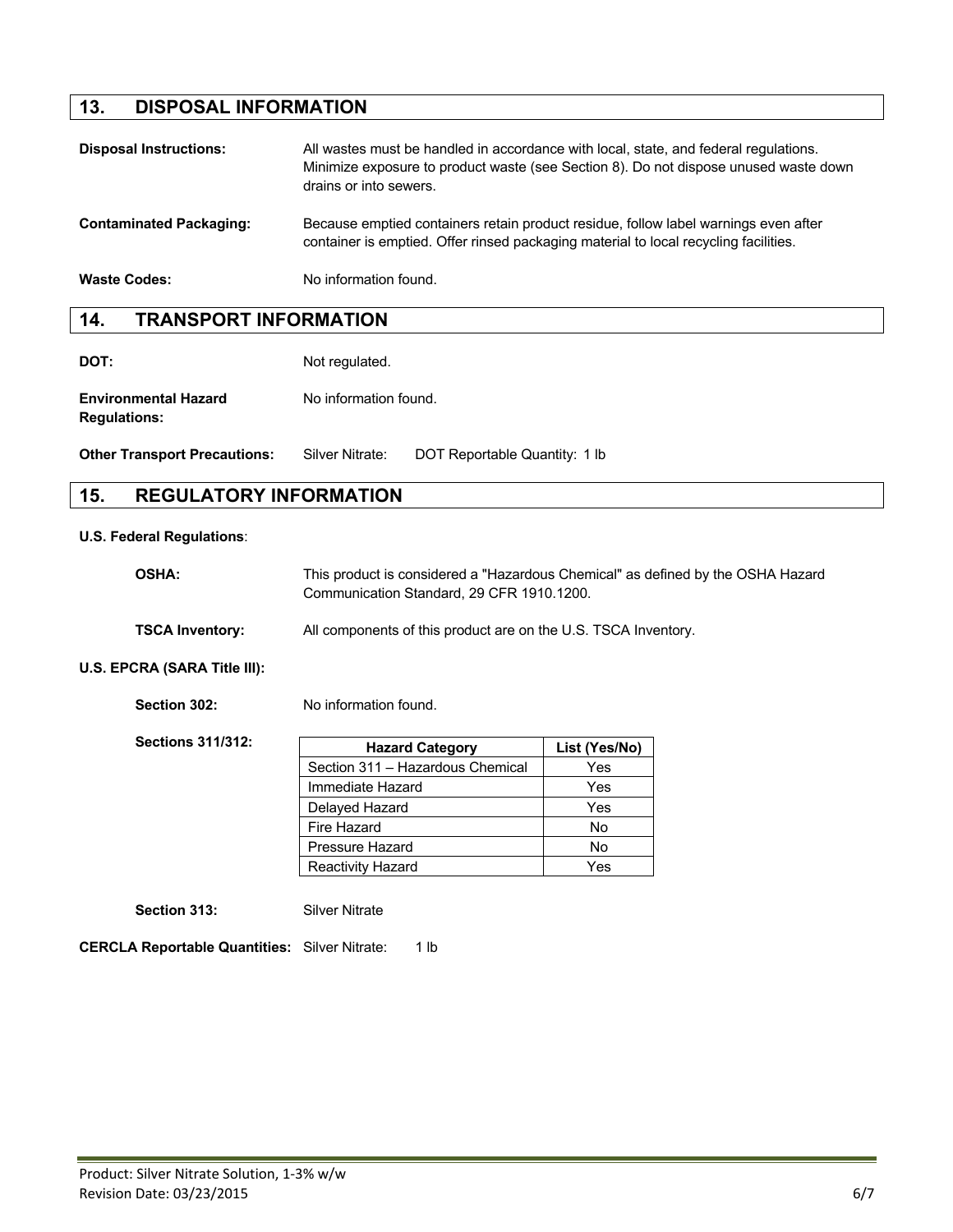## **13. DISPOSAL INFORMATION**

| <b>Disposal Instructions:</b>  | All wastes must be handled in accordance with local, state, and federal regulations.<br>Minimize exposure to product waste (see Section 8). Do not dispose unused waste down<br>drains or into sewers. |
|--------------------------------|--------------------------------------------------------------------------------------------------------------------------------------------------------------------------------------------------------|
| <b>Contaminated Packaging:</b> | Because emptied containers retain product residue, follow label warnings even after<br>container is emptied. Offer rinsed packaging material to local recycling facilities.                            |
| <b>Waste Codes:</b>            | No information found.                                                                                                                                                                                  |

### **14. TRANSPORT INFORMATION**

**DOT:** Not regulated.

**Environmental Hazard** No information found. **Regulations:**

**Other Transport Precautions:** Silver Nitrate: DOT Reportable Quantity: 1 lb

## **15. REGULATORY INFORMATION**

#### **U.S. Federal Regulations**:

| <b>OSHA:</b>           | This product is considered a "Hazardous Chemical" as defined by the OSHA Hazard<br>Communication Standard, 29 CFR 1910,1200. |
|------------------------|------------------------------------------------------------------------------------------------------------------------------|
| <b>TSCA Inventory:</b> | All components of this product are on the U.S. TSCA Inventory.                                                               |

### **U.S. EPCRA (SARA Title III):**

**Section 302:** No information found.

| <b>Sections 311/312:</b> | <b>Hazard Category</b>           | List (Yes/No) |
|--------------------------|----------------------------------|---------------|
|                          | Section 311 - Hazardous Chemical | Yes           |
|                          | Immediate Hazard                 | Yes           |
|                          | Delayed Hazard                   | Yes           |
|                          | Fire Hazard                      | <b>No</b>     |
|                          | Pressure Hazard                  | <b>No</b>     |
|                          | <b>Reactivity Hazard</b>         | Yes           |

**Section 313:** Silver Nitrate

**CERCLA Reportable Quantities:** Silver Nitrate: 1 lb